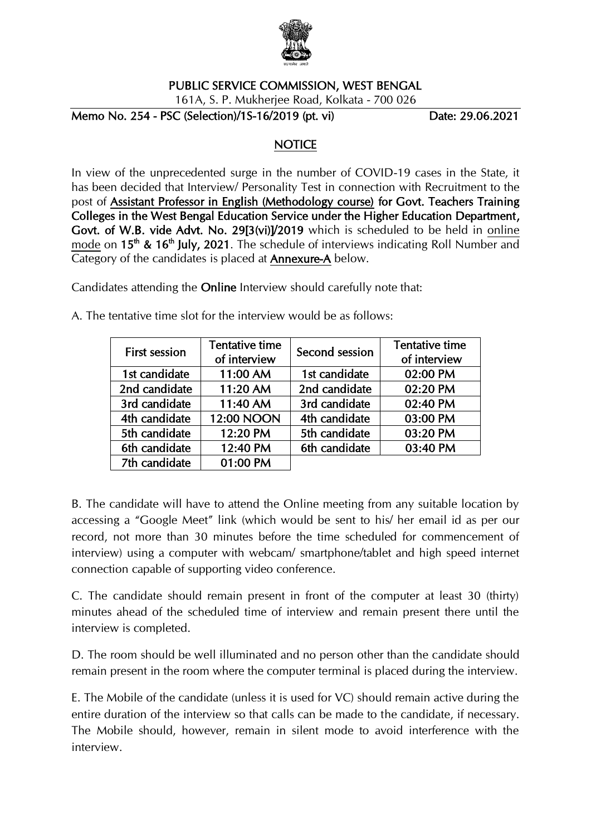

#### PUBLIC SERVICE COMMISSION, WEST BENGAL

161A, S. P. Mukherjee Road, Kolkata - 700 026

Memo No. 254 - PSC (Selection)/1S-16/2019 (pt. vi) Date: 29.06.2021

### **NOTICE**

In view of the unprecedented surge in the number of COVID-19 cases in the State, it has been decided that Interview/ Personality Test in connection with Recruitment to the post of Assistant Professor in English (Methodology course) for Govt. Teachers Training Colleges in the West Bengal Education Service under the Higher Education Department, Govt. of W.B. vide Advt. No. 29[3(vi)]/2019 which is scheduled to be held in online mode on  $15<sup>th</sup>$  &  $16<sup>th</sup>$  July, 2021. The schedule of interviews indicating Roll Number and Category of the candidates is placed at Annexure-A below.

Candidates attending the Online Interview should carefully note that:

| <b>First session</b> | Tentative time | Second session | <b>Tentative time</b> |
|----------------------|----------------|----------------|-----------------------|
|                      | of interview   |                | of interview          |
| 1st candidate        | 11:00 AM       | 1st candidate  | 02:00 PM              |
| 2nd candidate        | 11:20 AM       | 2nd candidate  | 02:20 PM              |
| 3rd candidate        | 11:40 AM       | 3rd candidate  | 02:40 PM              |
| 4th candidate        | 12:00 NOON     | 4th candidate  | 03:00 PM              |
| 5th candidate        | 12:20 PM       | 5th candidate  | 03:20 PM              |
| 6th candidate        | 12:40 PM       | 6th candidate  | 03:40 PM              |
| 7th candidate        | 01:00 PM       |                |                       |

A. The tentative time slot for the interview would be as follows:

B. The candidate will have to attend the Online meeting from any suitable location by accessing a "Google Meet" link (which would be sent to his/ her email id as per our record, not more than 30 minutes before the time scheduled for commencement of interview) using a computer with webcam/ smartphone/tablet and high speed internet connection capable of supporting video conference.

C. The candidate should remain present in front of the computer at least 30 (thirty) minutes ahead of the scheduled time of interview and remain present there until the interview is completed.

D. The room should be well illuminated and no person other than the candidate should remain present in the room where the computer terminal is placed during the interview.

E. The Mobile of the candidate (unless it is used for VC) should remain active during the entire duration of the interview so that calls can be made to the candidate, if necessary. The Mobile should, however, remain in silent mode to avoid interference with the interview.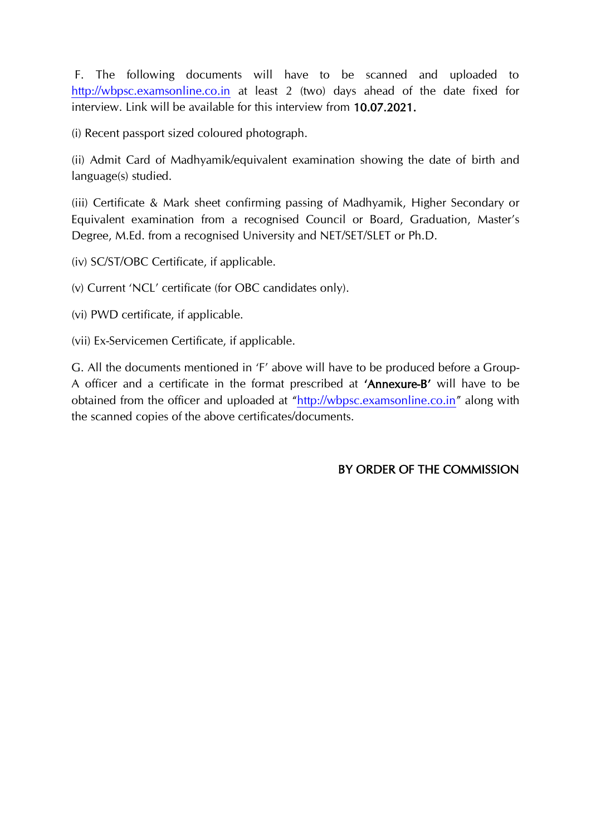F. The following documents will have to be scanned and uploaded to [http://wbpsc.examsonline.co.in](http://wbpsc.examsonline.co.in/) at least 2 (two) days ahead of the date fixed for interview. Link will be available for this interview from 10.07.2021.

(i) Recent passport sized coloured photograph.

(ii) Admit Card of Madhyamik/equivalent examination showing the date of birth and language(s) studied.

(iii) Certificate & Mark sheet confirming passing of Madhyamik, Higher Secondary or Equivalent examination from a recognised Council or Board, Graduation, Master's Degree, M.Ed. from a recognised University and NET/SET/SLET or Ph.D.

(iv) SC/ST/OBC Certificate, if applicable.

(v) Current 'NCL' certificate (for OBC candidates only).

(vi) PWD certificate, if applicable.

(vii) Ex-Servicemen Certificate, if applicable.

G. All the documents mentioned in 'F' above will have to be produced before a Group-A officer and a certificate in the format prescribed at 'Annexure-B' will have to be obtained from the officer and uploaded at "[http://wbpsc.examsonline.co.in](http://wbpsc.examsonline.co.in/)" along with the scanned copies of the above certificates/documents.

### BY ORDER OF THE COMMISSION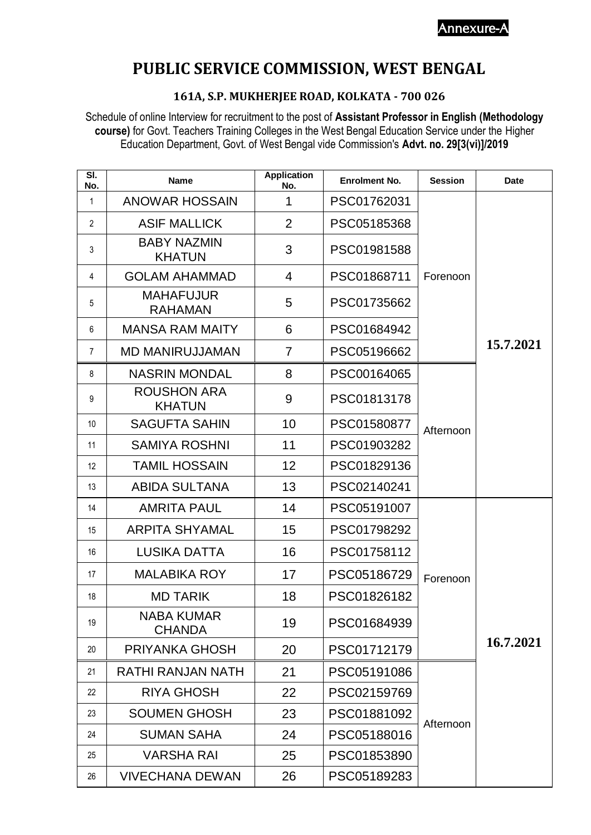Annexure-A

# **PUBLIC SERVICE COMMISSION, WEST BENGAL**

### **161A, S.P. MUKHERJEE ROAD, KOLKATA - 700 026**

Schedule of online Interview for recruitment to the post of **Assistant Professor in English (Methodology course)** for Govt. Teachers Training Colleges in the West Bengal Education Service under the Higher Education Department, Govt. of West Bengal vide Commission's **Advt. no. 29[3(vi)]/2019**

| SI.<br>No.        | <b>Name</b>                         | <b>Application</b><br>No. | <b>Enrolment No.</b> | <b>Session</b> | <b>Date</b> |
|-------------------|-------------------------------------|---------------------------|----------------------|----------------|-------------|
| $\mathbf{1}$      | <b>ANOWAR HOSSAIN</b>               | 1                         | PSC01762031          |                |             |
| $\overline{2}$    | <b>ASIF MALLICK</b>                 | $\overline{2}$            | PSC05185368          |                |             |
| 3                 | <b>BABY NAZMIN</b><br><b>KHATUN</b> | 3                         | PSC01981588          |                |             |
| 4                 | <b>GOLAM AHAMMAD</b>                | 4                         | PSC01868711          | Forenoon       |             |
| 5                 | <b>MAHAFUJUR</b><br><b>RAHAMAN</b>  | 5                         | PSC01735662          |                |             |
| 6                 | <b>MANSA RAM MAITY</b>              | 6                         | PSC01684942          |                |             |
| $\overline{7}$    | <b>MD MANIRUJJAMAN</b>              | $\overline{7}$            | PSC05196662          |                | 15.7.2021   |
| 8                 | <b>NASRIN MONDAL</b>                | 8                         | PSC00164065          |                |             |
| 9                 | <b>ROUSHON ARA</b><br><b>KHATUN</b> | 9                         | PSC01813178          |                |             |
| 10                | <b>SAGUFTA SAHIN</b>                | 10                        | PSC01580877          | Afternoon      |             |
| 11                | <b>SAMIYA ROSHNI</b>                | 11                        | PSC01903282          |                |             |
| $12 \overline{ }$ | <b>TAMIL HOSSAIN</b>                | 12                        | PSC01829136          |                |             |
| 13                | <b>ABIDA SULTANA</b>                | 13                        | PSC02140241          |                |             |
| 14                | <b>AMRITA PAUL</b>                  | 14                        | PSC05191007          |                |             |
| 15                | <b>ARPITA SHYAMAL</b>               | 15                        | PSC01798292          |                |             |
| 16                | <b>LUSIKA DATTA</b>                 | 16                        | PSC01758112          |                |             |
| 17                | <b>MALABIKA ROY</b>                 | 17                        | PSC05186729          | Forenoon       |             |
| 18                | <b>MD TARIK</b>                     | 18                        | PSC01826182          |                |             |
| 19                | <b>NABA KUMAR</b><br><b>CHANDA</b>  | 19                        | PSC01684939          |                |             |
| 20                | PRIYANKA GHOSH                      | 20                        | PSC01712179          |                | 16.7.2021   |
| 21                | RATHI RANJAN NATH                   | 21                        | PSC05191086          |                |             |
| 22                | <b>RIYA GHOSH</b>                   | 22                        | PSC02159769          |                |             |
| 23                | <b>SOUMEN GHOSH</b>                 | 23                        | PSC01881092          | Afternoon      |             |
| 24                | <b>SUMAN SAHA</b>                   | 24                        | PSC05188016          |                |             |
| 25                | <b>VARSHA RAI</b>                   | 25                        | PSC01853890          |                |             |
| 26                | <b>VIVECHANA DEWAN</b>              | 26                        | PSC05189283          |                |             |